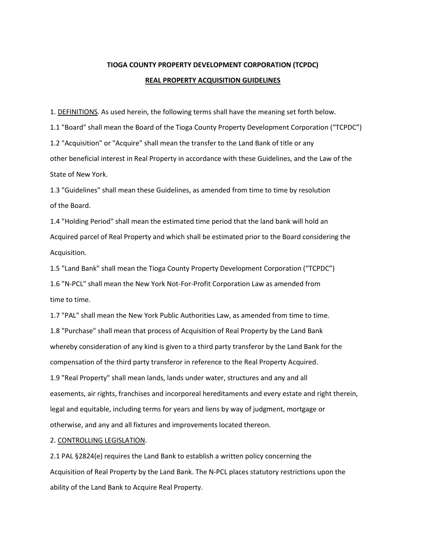## **TIOGA COUNTY PROPERTY DEVELOPMENT CORPORATION (TCPDC) REAL PROPERTY ACQUISITION GUIDELINES**

1. DEFINITIONS. As used herein, the following terms shall have the meaning set forth below.

1.1 "Board" shall mean the Board of the Tioga County Property Development Corporation ("TCPDC") 1.2 "Acquisition" or "Acquire" shall mean the transfer to the Land Bank of title or any other beneficial interest in Real Property in accordance with these Guidelines, and the Law of the State of New York.

1.3 "Guidelines" shall mean these Guidelines, as amended from time to time by resolution of the Board.

1.4 "Holding Period" shall mean the estimated time period that the land bank will hold an Acquired parcel of Real Property and which shall be estimated prior to the Board considering the Acquisition.

1.5 "Land Bank" shall mean the Tioga County Property Development Corporation ("TCPDC") 1.6 "N-PCL" shall mean the New York Not-For-Profit Corporation Law as amended from time to time.

1.7 "PAL" shall mean the New York Public Authorities Law, as amended from time to time. 1.8 "Purchase" shall mean that process of Acquisition of Real Property by the Land Bank whereby consideration of any kind is given to a third party transferor by the Land Bank for the compensation of the third party transferor in reference to the Real Property Acquired. 1.9 "Real Property" shall mean lands, lands under water, structures and any and all easements, air rights, franchises and incorporeal hereditaments and every estate and right therein, legal and equitable, including terms for years and liens by way of judgment, mortgage or otherwise, and any and all fixtures and improvements located thereon.

## 2. CONTROLLING LEGISLATION.

2.1 PAL §2824(e) requires the Land Bank to establish a written policy concerning the Acquisition of Real Property by the Land Bank. The N-PCL places statutory restrictions upon the ability of the Land Bank to Acquire Real Property.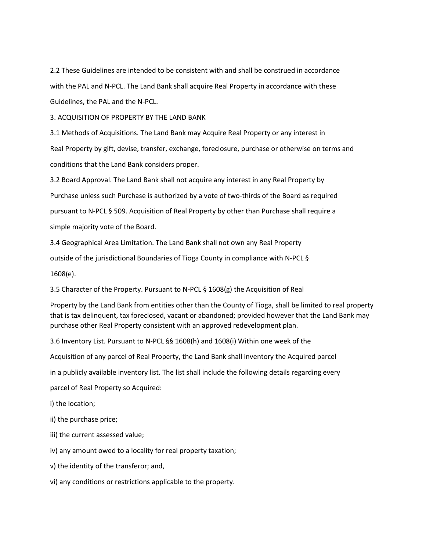2.2 These Guidelines are intended to be consistent with and shall be construed in accordance with the PAL and N-PCL. The Land Bank shall acquire Real Property in accordance with these Guidelines, the PAL and the N-PCL.

## 3. ACQUISITION OF PROPERTY BY THE LAND BANK

3.1 Methods of Acquisitions. The Land Bank may Acquire Real Property or any interest in Real Property by gift, devise, transfer, exchange, foreclosure, purchase or otherwise on terms and conditions that the Land Bank considers proper.

3.2 Board Approval. The Land Bank shall not acquire any interest in any Real Property by

Purchase unless such Purchase is authorized by a vote of two-thirds of the Board as required

pursuant to N-PCL § 509. Acquisition of Real Property by other than Purchase shall require a

simple majority vote of the Board.

3.4 Geographical Area Limitation. The Land Bank shall not own any Real Property

outside of the jurisdictional Boundaries of Tioga County in compliance with N-PCL §

1608(e).

3.5 Character of the Property. Pursuant to N-PCL § 1608(g) the Acquisition of Real

Property by the Land Bank from entities other than the County of Tioga, shall be limited to real property that is tax delinquent, tax foreclosed, vacant or abandoned; provided however that the Land Bank may purchase other Real Property consistent with an approved redevelopment plan.

3.6 Inventory List. Pursuant to N-PCL §§ 1608(h) and 1608(i) Within one week of the

Acquisition of any parcel of Real Property, the Land Bank shall inventory the Acquired parcel

in a publicly available inventory list. The list shall include the following details regarding every

parcel of Real Property so Acquired:

i) the location;

ii) the purchase price;

iii) the current assessed value;

iv) any amount owed to a locality for real property taxation;

v) the identity of the transferor; and,

vi) any conditions or restrictions applicable to the property.